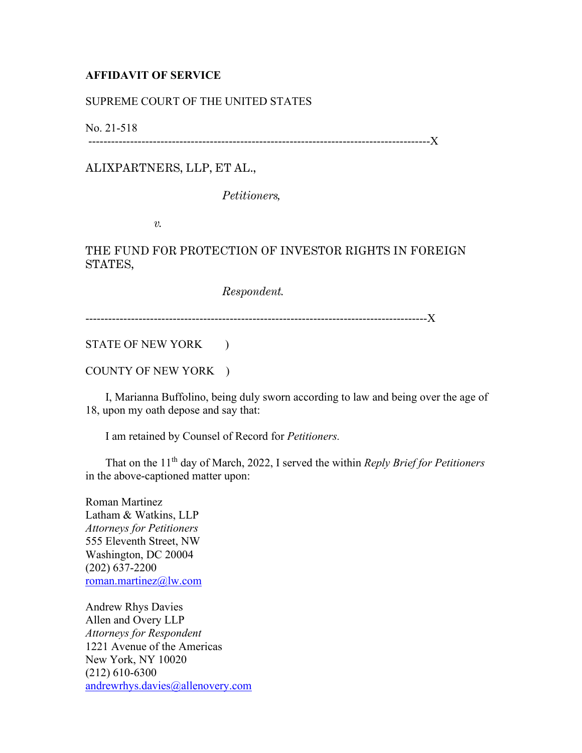## **AFFIDAVIT OF SERVICE**

## SUPREME COURT OF THE UNITED STATES

No. 21-518

------------------------------------------------------------------------------------------X

ALIXPARTNERS, LLP, ET AL.,

*Petitioners,*

*v.*

## THE FUND FOR PROTECTION OF INVESTOR RIGHTS IN FOREIGN STATES,

*Respondent.*

------------------------------------------------------------------------------------------X

STATE OF NEW YORK )

COUNTY OF NEW YORK )

 I, Marianna Buffolino, being duly sworn according to law and being over the age of 18, upon my oath depose and say that:

I am retained by Counsel of Record for *Petitioners.*

 That on the 11th day of March, 2022, I served the within *Reply Brief for Petitioners* in the above-captioned matter upon:

Roman Martinez Latham & Watkins, LLP *Attorneys for Petitioners* 555 Eleventh Street, NW Washington, DC 20004 (202) 637-2200 [roman.martinez@lw.com](mailto:roman.martinez@lw.com)

Andrew Rhys Davies Allen and Overy LLP *Attorneys for Respondent* 1221 Avenue of the Americas New York, NY 10020 (212) 610-6300 [andrewrhys.davies@allenovery.com](mailto:andrewrhys.davies@allenovery.com)